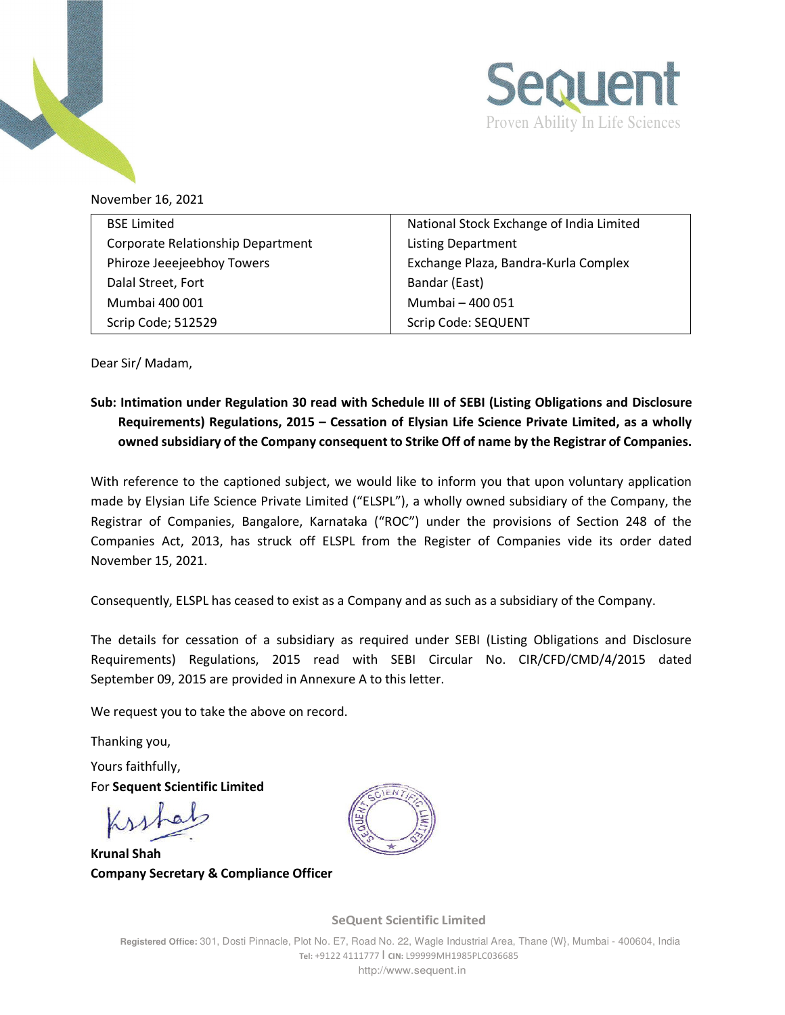



November 16, 2021

| <b>BSE Limited</b>                | National Stock Exchange of India Limited |  |
|-----------------------------------|------------------------------------------|--|
| Corporate Relationship Department | <b>Listing Department</b>                |  |
|                                   |                                          |  |
| Phiroze Jeeejeebhoy Towers        | Exchange Plaza, Bandra-Kurla Complex     |  |
| Dalal Street, Fort                | Bandar (East)                            |  |
| Mumbai 400 001                    | Mumbai - 400 051                         |  |
| Scrip Code; 512529                | Scrip Code: SEQUENT                      |  |

Dear Sir/ Madam,

## **Sub: Intimation under Regulation 30 read with Schedule III of SEBI (Listing Obligations and Disclosure Requirements) Regulations, 2015 – Cessation of Elysian Life Science Private Limited, as a wholly owned subsidiary of the Company consequent to Strike Off of name by the Registrar of Companies.**

With reference to the captioned subject, we would like to inform you that upon voluntary application made by Elysian Life Science Private Limited ("ELSPL"), a wholly owned subsidiary of the Company, the Registrar of Companies, Bangalore, Karnataka ("ROC") under the provisions of Section 248 of the Companies Act, 2013, has struck off ELSPL from the Register of Companies vide its order dated November 15, 2021.

Consequently, ELSPL has ceased to exist as a Company and as such as a subsidiary of the Company.

The details for cessation of a subsidiary as required under SEBI (Listing Obligations and Disclosure Requirements) Regulations, 2015 read with SEBI Circular No. CIR/CFD/CMD/4/2015 dated September 09, 2015 are provided in Annexure A to this letter.

We request you to take the above on record.

Thanking you,

Yours faithfully, For **Sequent Scientific Limited** 

**Krunal Shah Company Secretary & Compliance Officer** 



**SeQuent Scientific Limited**

**Registered Office:** 301, Dosti Pinnacle, Plot No. E7, Road No. 22, Wagle Industrial Area, Thane (W}, Mumbai - 400604, India **Tel:** +9122 4111777 I **CIN:** L99999MH1985PLC036685 http://www.sequent.in